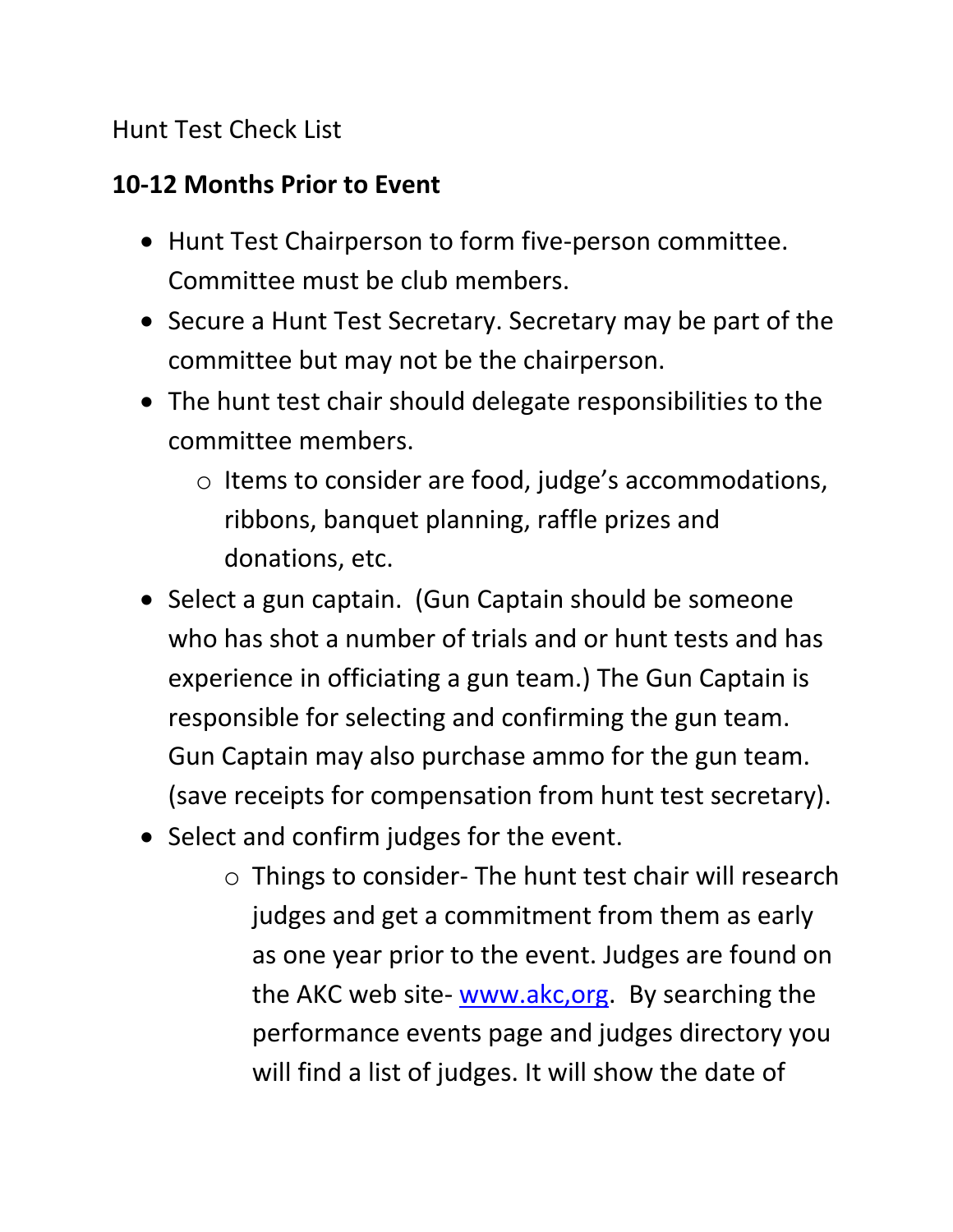### Hunt Test Check List

### **10-12 Months Prior to Event**

- Hunt Test Chairperson to form five-person committee. Committee must be club members.
- Secure a Hunt Test Secretary. Secretary may be part of the committee but may not be the chairperson.
- The hunt test chair should delegate responsibilities to the committee members.
	- o Items to consider are food, judge's accommodations, ribbons, banquet planning, raffle prizes and donations, etc.
- Select a gun captain. (Gun Captain should be someone who has shot a number of trials and or hunt tests and has experience in officiating a gun team.) The Gun Captain is responsible for selecting and confirming the gun team. Gun Captain may also purchase ammo for the gun team. (save receipts for compensation from hunt test secretary).
- Select and confirm judges for the event.
	- o Things to consider- The hunt test chair will research judges and get a commitment from them as early as one year prior to the event. Judges are found on the AKC web site- [www.akc,org.](http://www.akc,org/) By searching the performance events page and judges directory you will find a list of judges. It will show the date of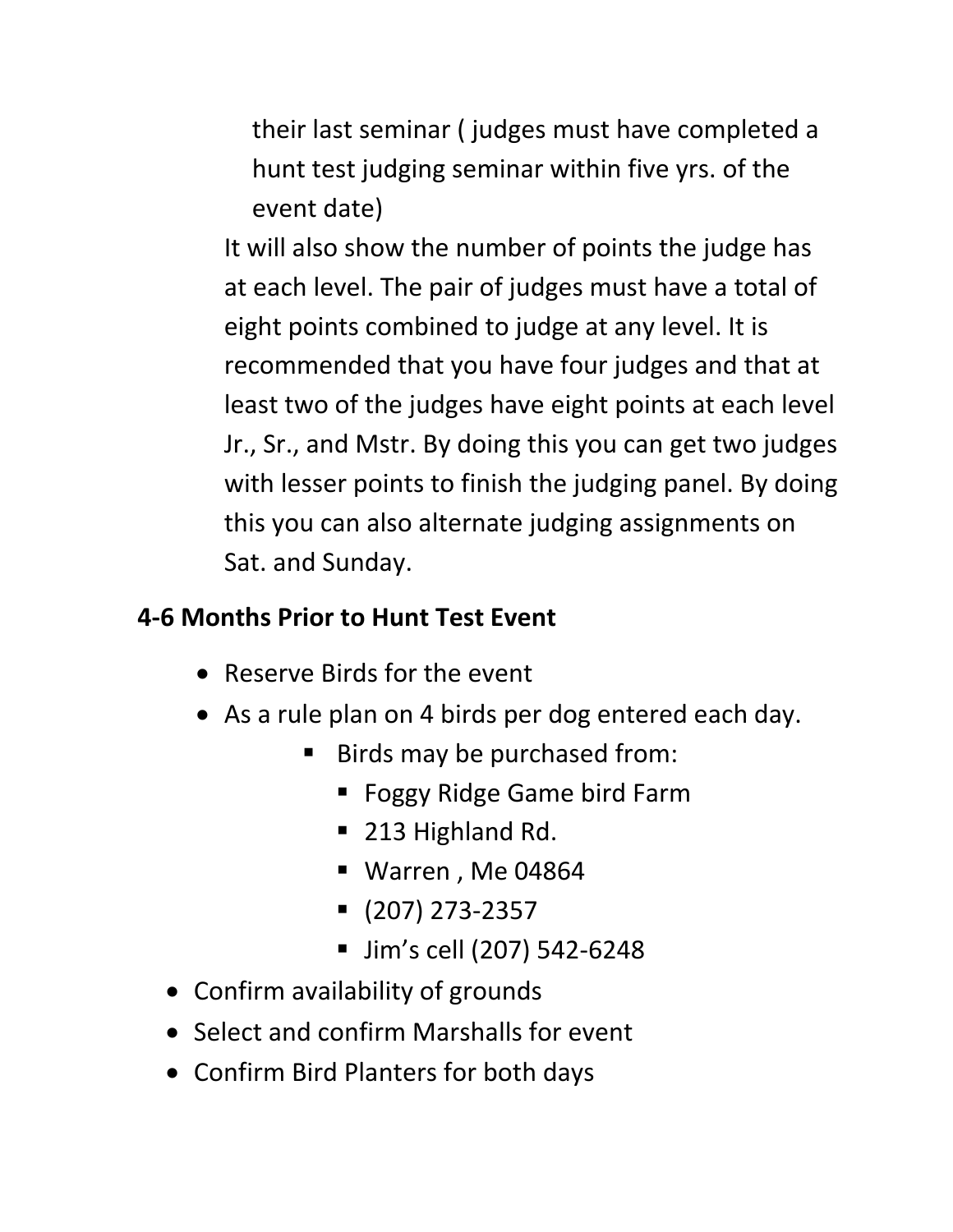their last seminar ( judges must have completed a hunt test judging seminar within five yrs. of the event date)

It will also show the number of points the judge has at each level. The pair of judges must have a total of eight points combined to judge at any level. It is recommended that you have four judges and that at least two of the judges have eight points at each level Jr., Sr., and Mstr. By doing this you can get two judges with lesser points to finish the judging panel. By doing this you can also alternate judging assignments on Sat. and Sunday.

### **4-6 Months Prior to Hunt Test Event**

- Reserve Birds for the event
- As a rule plan on 4 birds per dog entered each day.
	- Birds may be purchased from:
		- Foggy Ridge Game bird Farm
		- 213 Highland Rd.
		- Warren , Me 04864
		- (207) 273-2357
		- Jim's cell (207) 542-6248
- Confirm availability of grounds
- Select and confirm Marshalls for event
- Confirm Bird Planters for both days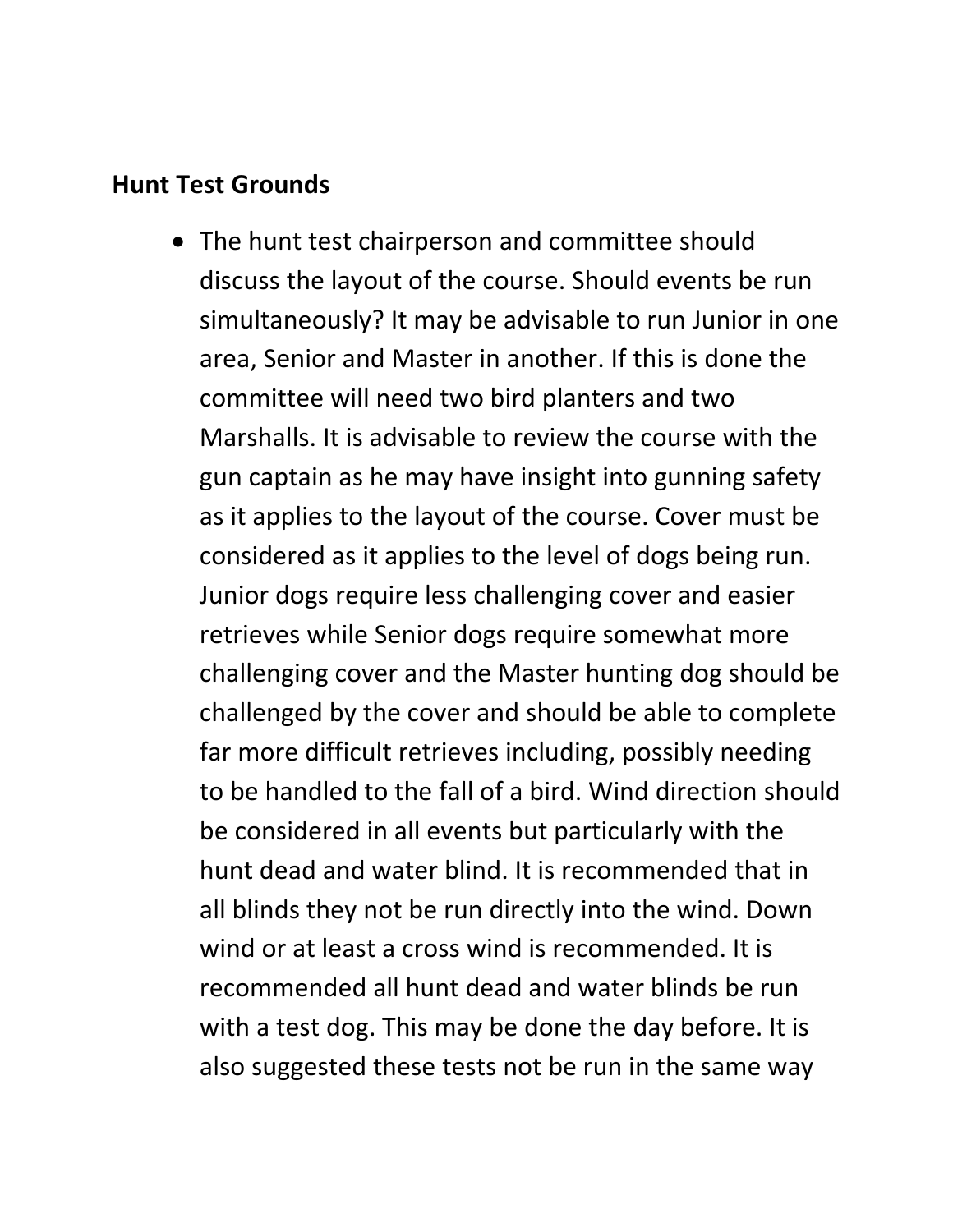#### **Hunt Test Grounds**

• The hunt test chairperson and committee should discuss the layout of the course. Should events be run simultaneously? It may be advisable to run Junior in one area, Senior and Master in another. If this is done the committee will need two bird planters and two Marshalls. It is advisable to review the course with the gun captain as he may have insight into gunning safety as it applies to the layout of the course. Cover must be considered as it applies to the level of dogs being run. Junior dogs require less challenging cover and easier retrieves while Senior dogs require somewhat more challenging cover and the Master hunting dog should be challenged by the cover and should be able to complete far more difficult retrieves including, possibly needing to be handled to the fall of a bird. Wind direction should be considered in all events but particularly with the hunt dead and water blind. It is recommended that in all blinds they not be run directly into the wind. Down wind or at least a cross wind is recommended. It is recommended all hunt dead and water blinds be run with a test dog. This may be done the day before. It is also suggested these tests not be run in the same way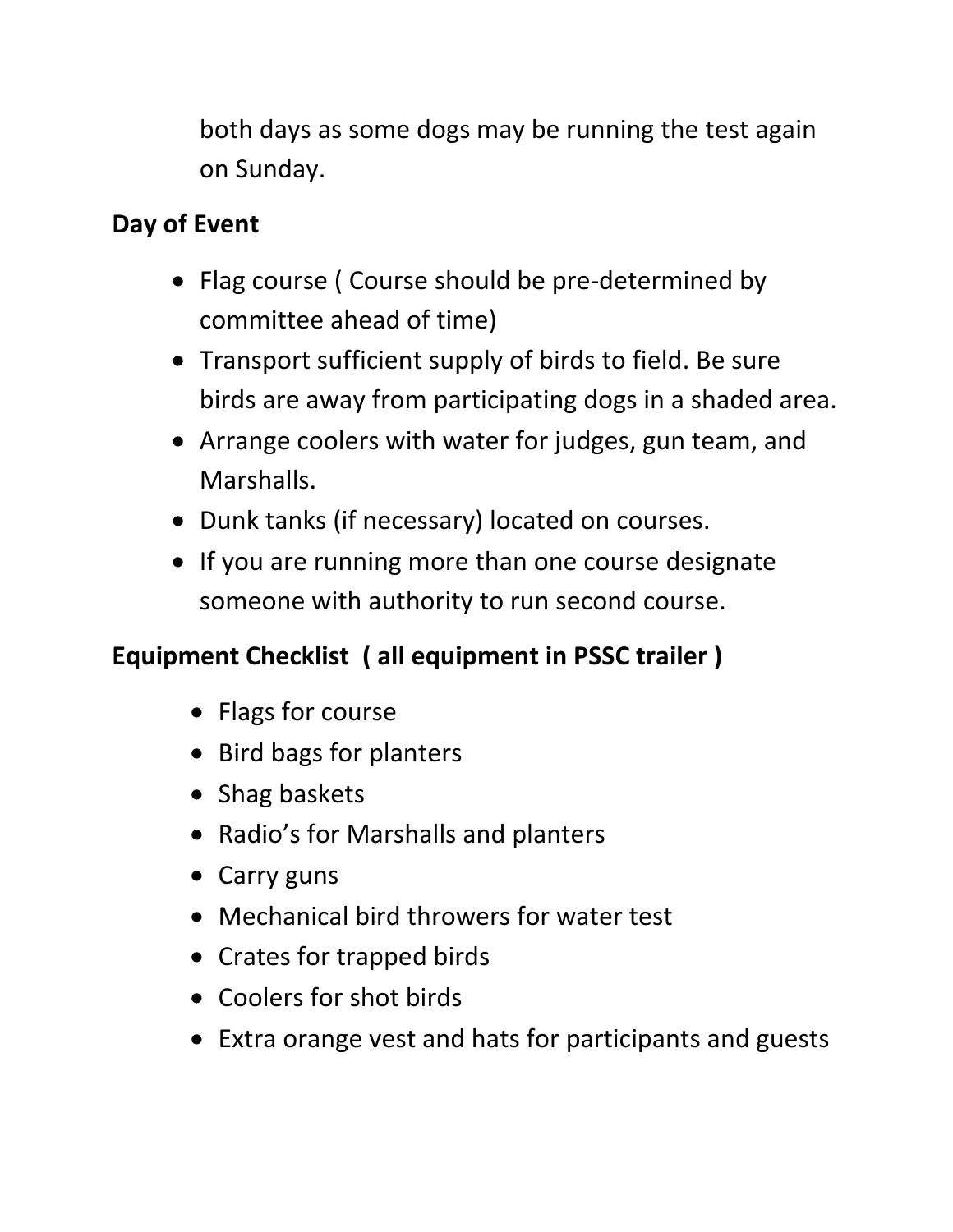both days as some dogs may be running the test again on Sunday.

# **Day of Event**

- Flag course ( Course should be pre-determined by committee ahead of time)
- Transport sufficient supply of birds to field. Be sure birds are away from participating dogs in a shaded area.
- Arrange coolers with water for judges, gun team, and Marshalls.
- Dunk tanks (if necessary) located on courses.
- If you are running more than one course designate someone with authority to run second course.

# **Equipment Checklist ( all equipment in PSSC trailer )**

- Flags for course
- Bird bags for planters
- Shag baskets
- Radio's for Marshalls and planters
- Carry guns
- Mechanical bird throwers for water test
- Crates for trapped birds
- Coolers for shot birds
- Extra orange vest and hats for participants and guests